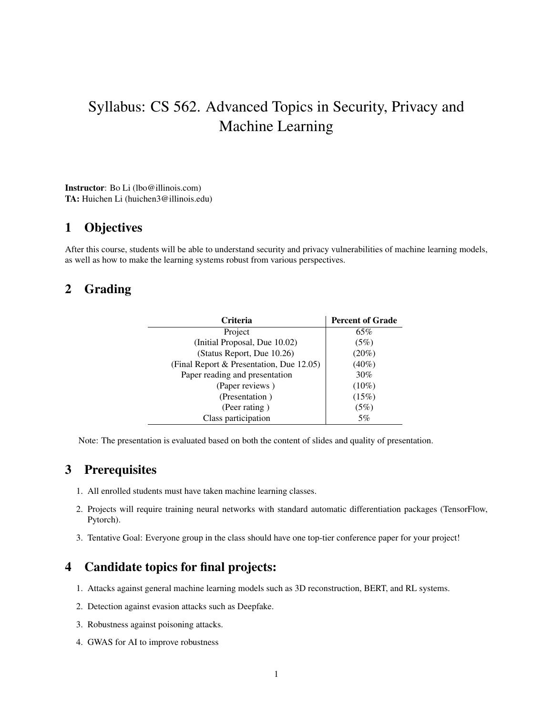# Syllabus: CS 562. Advanced Topics in Security, Privacy and Machine Learning

Instructor: Bo Li (lbo@illinois.com) TA: Huichen Li (huichen3@illinois.edu)

#### 1 Objectives

After this course, students will be able to understand security and privacy vulnerabilities of machine learning models, as well as how to make the learning systems robust from various perspectives.

## 2 Grading

| <b>Criteria</b>                          | <b>Percent of Grade</b> |
|------------------------------------------|-------------------------|
| Project                                  | 65%                     |
| (Initial Proposal, Due 10.02)            | (5%)                    |
| (Status Report, Due 10.26)               | $(20\%)$                |
| (Final Report & Presentation, Due 12.05) | $(40\%)$                |
| Paper reading and presentation           | 30%                     |
| (Paper reviews)                          | $(10\%)$                |
| (Presentation)                           | (15%)                   |
| (Peer rating)                            | (5%)                    |
| Class participation                      | 5%                      |

Note: The presentation is evaluated based on both the content of slides and quality of presentation.

#### 3 Prerequisites

- 1. All enrolled students must have taken machine learning classes.
- 2. Projects will require training neural networks with standard automatic differentiation packages (TensorFlow, Pytorch).
- 3. Tentative Goal: Everyone group in the class should have one top-tier conference paper for your project!

## 4 Candidate topics for final projects:

- 1. Attacks against general machine learning models such as 3D reconstruction, BERT, and RL systems.
- 2. Detection against evasion attacks such as Deepfake.
- 3. Robustness against poisoning attacks.
- 4. GWAS for AI to improve robustness